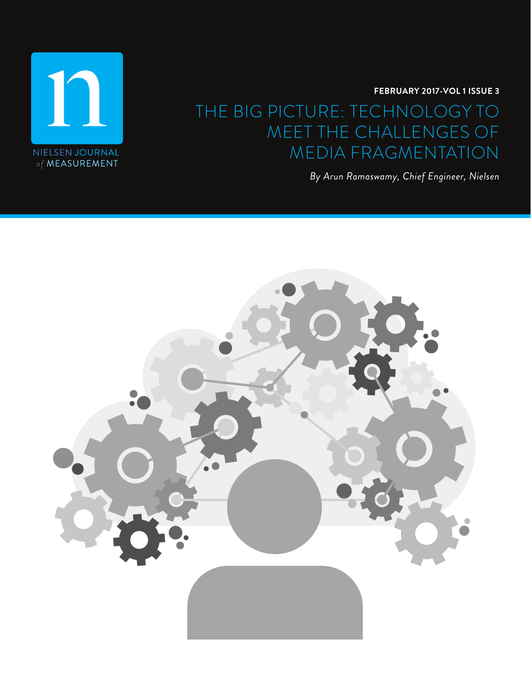$\Gamma$ NIELSEN JOURNAL of MEASUREMENT

**FEBRUARY 2017-VOL 1 ISSUE 3**

# THE BIG PICTURE: TECHNOLOGY TO MEET THE CHALLENGES OF MEDIA FRAGMENTATION

*By Arun Ramaswamy, Chief Engineer, Nielsen*

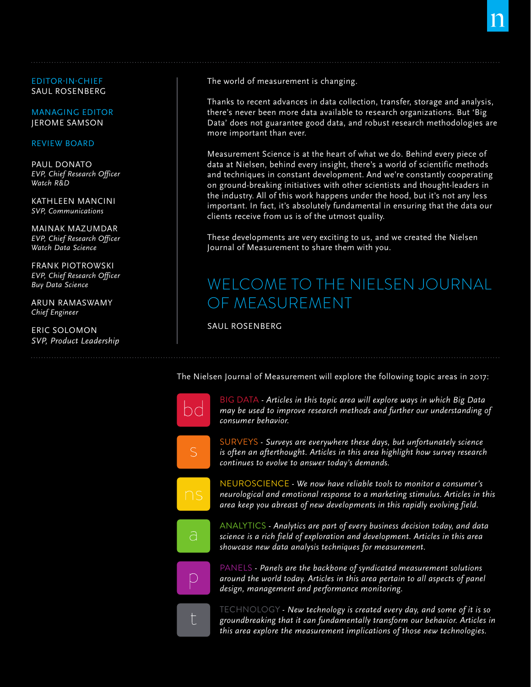EDITOR-IN-CHIEF SAUL ROSENBERG

MANAGING EDITOR JEROME SAMSON

#### REVIEW BOARD

PAUL DONATO *EVP, Chief Research Officer Watch R&D* 

KATHLEEN MANCINI *SVP, Communications*

MAINAK MAZUMDAR *EVP, Chief Research Officer Watch Data Science*

FRANK PIOTROWSKI *EVP, Chief Research Officer Buy Data Science*

ARUN RAMASWAMY *Chief Engineer*

ERIC SOLOMON *SVP, Product Leadership* The world of measurement is changing.

Thanks to recent advances in data collection, transfer, storage and analysis, there's never been more data available to research organizations. But 'Big Data' does not guarantee good data, and robust research methodologies are more important than ever.

Measurement Science is at the heart of what we do. Behind every piece of data at Nielsen, behind every insight, there's a world of scientific methods and techniques in constant development. And we're constantly cooperating on ground-breaking initiatives with other scientists and thought-leaders in the industry. All of this work happens under the hood, but it's not any less important. In fact, it's absolutely fundamental in ensuring that the data our clients receive from us is of the utmost quality.

These developments are very exciting to us, and we created the Nielsen Journal of Measurement to share them with you.

# WELCOME TO THE NIELSEN JOURNAL OF MEASUREMENT

SAUL ROSENBERG

The Nielsen Journal of Measurement will explore the following topic areas in 2017:

| $\overline{\bigcirc}$ |
|-----------------------|
| Ŝ                     |
| $\cap$<br>Ŝ           |
| а                     |
| $\bigcirc$            |
|                       |

BIG DATA *- Articles in this topic area will explore ways in which Big Data may be used to improve research methods and further our understanding of consumer behavior.*

SURVEYS *- Surveys are everywhere these days, but unfortunately science is often an afterthought. Articles in this area highlight how survey research continues to evolve to answer today's demands.*

NEUROSCIENCE *- We now have reliable tools to monitor a consumer's neurological and emotional response to a marketing stimulus. Articles in this area keep you abreast of new developments in this rapidly evolving field.*

ANALYTICS *- Analytics are part of every business decision today, and data science is a rich field of exploration and development. Articles in this area showcase new data analysis techniques for measurement.*

PANELS *- Panels are the backbone of syndicated measurement solutions around the world today. Articles in this area pertain to all aspects of panel design, management and performance monitoring.*

TECHNOLOGY *- New technology is created every day, and some of it is so groundbreaking that it can fundamentally transform our behavior. Articles in this area explore the measurement implications of those new technologies.*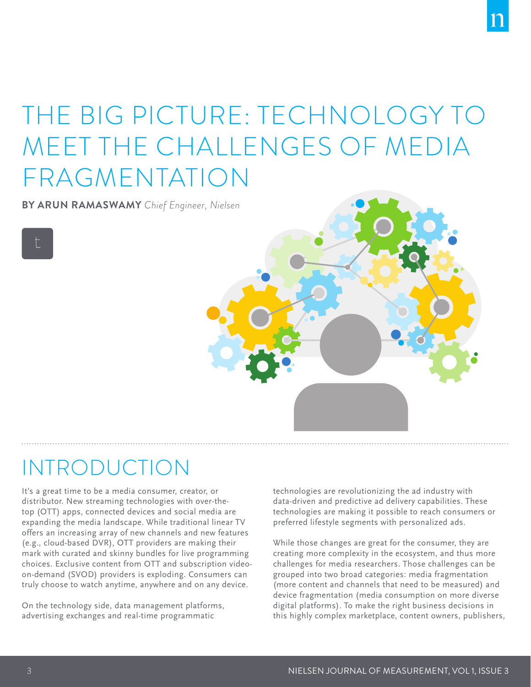# THE BIG PICTURE: TECHNOLOGY TO MEET THE CHALLENGES OF MEDIA FRAGMENTATION

**BY ARUN RAMASWAMY** *Chief Engineer, Nielsen*

# INTRODUCTION

It's a great time to be a media consumer, creator, or distributor. New streaming technologies with over-thetop (OTT) apps, connected devices and social media are expanding the media landscape. While traditional linear TV offers an increasing array of new channels and new features (e.g., cloud-based DVR), OTT providers are making their mark with curated and skinny bundles for live programming choices. Exclusive content from OTT and subscription videoon-demand (SVOD) providers is exploding. Consumers can truly choose to watch anytime, anywhere and on any device.

On the technology side, data management platforms, advertising exchanges and real-time programmatic

technologies are revolutionizing the ad industry with data-driven and predictive ad delivery capabilities. These technologies are making it possible to reach consumers or preferred lifestyle segments with personalized ads.

While those changes are great for the consumer, they are creating more complexity in the ecosystem, and thus more challenges for media researchers. Those challenges can be grouped into two broad categories: media fragmentation (more content and channels that need to be measured) and device fragmentation (media consumption on more diverse digital platforms). To make the right business decisions in this highly complex marketplace, content owners, publishers,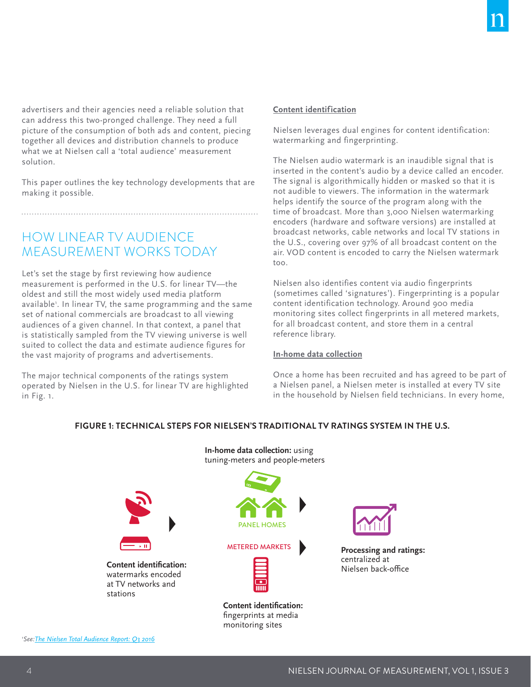advertisers and their agencies need a reliable solution that can address this two-pronged challenge. They need a full picture of the consumption of both ads and content, piecing together all devices and distribution channels to produce what we at Nielsen call a 'total audience' measurement solution.

This paper outlines the key technology developments that are making it possible.

# HOW LINEAR TV AUDIENCE MEASUREMENT WORKS TODAY

Let's set the stage by first reviewing how audience measurement is performed in the U.S. for linear TV—the oldest and still the most widely used media platform available1 . In linear TV, the same programming and the same set of national commercials are broadcast to all viewing audiences of a given channel. In that context, a panel that is statistically sampled from the TV viewing universe is well suited to collect the data and estimate audience figures for the vast majority of programs and advertisements.

The major technical components of the ratings system operated by Nielsen in the U.S. for linear TV are highlighted in Fig. 1.

## **Content identification**

Nielsen leverages dual engines for content identification: watermarking and fingerprinting.

The Nielsen audio watermark is an inaudible signal that is inserted in the content's audio by a device called an encoder. The signal is algorithmically hidden or masked so that it is not audible to viewers. The information in the watermark helps identify the source of the program along with the time of broadcast. More than 3,000 Nielsen watermarking encoders (hardware and software versions) are installed at broadcast networks, cable networks and local TV stations in the U.S., covering over 97% of all broadcast content on the air. VOD content is encoded to carry the Nielsen watermark too.

Nielsen also identifies content via audio fingerprints (sometimes called 'signatures'). Fingerprinting is a popular content identification technology. Around 900 media monitoring sites collect fingerprints in all metered markets, for all broadcast content, and store them in a central reference library.

#### **In-home data collection**

Once a home has been recruited and has agreed to be part of a Nielsen panel, a Nielsen meter is installed at every TV site in the household by Nielsen field technicians. In every home,

## **FIGURE 1: TECHNICAL STEPS FOR NIELSEN'S TRADITIONAL TV RATINGS SYSTEM IN THE U.S.**

**In-home data collection:** using



monitoring sites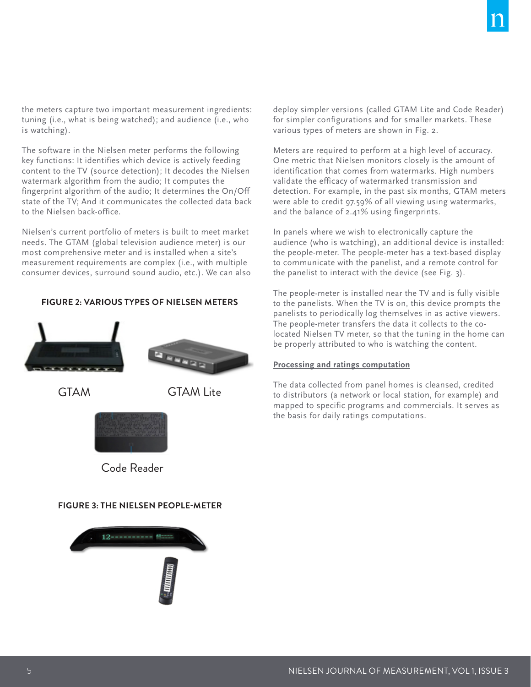the meters capture two important measurement ingredients: tuning (i.e., what is being watched); and audience (i.e., who is watching).

The software in the Nielsen meter performs the following key functions: It identifies which device is actively feeding content to the TV (source detection); It decodes the Nielsen watermark algorithm from the audio; It computes the fingerprint algorithm of the audio; It determines the On/Off state of the TV; And it communicates the collected data back to the Nielsen back-office.

Nielsen's current portfolio of meters is built to meet market needs. The GTAM (global television audience meter) is our most comprehensive meter and is installed when a site's measurement requirements are complex (i.e., with multiple consumer devices, surround sound audio, etc.). We can also

### **FIGURE 2: VARIOUS TYPES OF NIELSEN METERS**





GTAM GTAM Lite



Code Reader

#### **FIGURE 3: THE NIELSEN PEOPLE-METER**



deploy simpler versions (called GTAM Lite and Code Reader) for simpler configurations and for smaller markets. These various types of meters are shown in Fig. 2.

Meters are required to perform at a high level of accuracy. One metric that Nielsen monitors closely is the amount of identification that comes from watermarks. High numbers validate the efficacy of watermarked transmission and detection. For example, in the past six months, GTAM meters were able to credit 97.59% of all viewing using watermarks, and the balance of 2.41% using fingerprints.

In panels where we wish to electronically capture the audience (who is watching), an additional device is installed: the people-meter. The people-meter has a text-based display to communicate with the panelist, and a remote control for the panelist to interact with the device (see Fig. 3).

The people-meter is installed near the TV and is fully visible to the panelists. When the TV is on, this device prompts the panelists to periodically log themselves in as active viewers. The people-meter transfers the data it collects to the colocated Nielsen TV meter, so that the tuning in the home can be properly attributed to who is watching the content.

#### **Processing and ratings computation**

The data collected from panel homes is cleansed, credited to distributors (a network or local station, for example) and mapped to specific programs and commercials. It serves as the basis for daily ratings computations.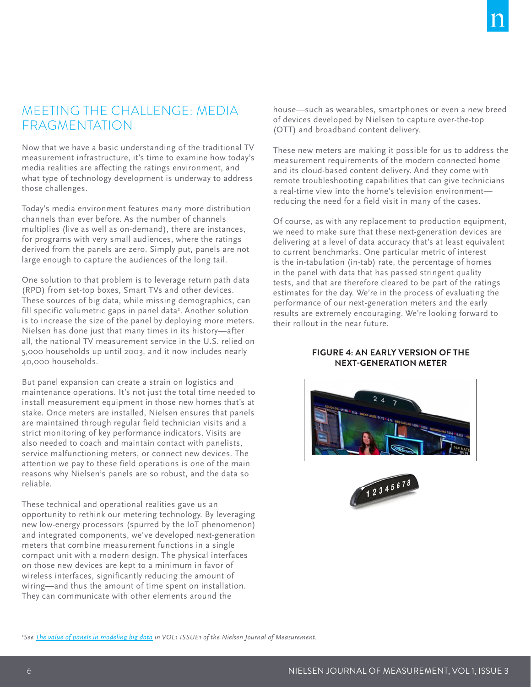## MEETING THE CHALLENGE: MEDIA FRAGMENTATION

Now that we have a basic understanding of the traditional TV measurement infrastructure, it's time to examine how today's media realities are affecting the ratings environment, and what type of technology development is underway to address those challenges.

Today's media environment features many more distribution channels than ever before. As the number of channels multiplies (live as well as on-demand), there are instances, for programs with very small audiences, where the ratings derived from the panels are zero. Simply put, panels are not large enough to capture the audiences of the long tail.

One solution to that problem is to leverage return path data (RPD) from set-top boxes, Smart TVs and other devices. These sources of big data, while missing demographics, can fill specific volumetric gaps in panel data<sup>2</sup>. Another solution is to increase the size of the panel by deploying more meters. Nielsen has done just that many times in its history—after all, the national TV measurement service in the U.S. relied on 5,000 households up until 2003, and it now includes nearly 40,000 households.

But panel expansion can create a strain on logistics and maintenance operations. It's not just the total time needed to install measurement equipment in those new homes that's at stake. Once meters are installed, Nielsen ensures that panels are maintained through regular field technician visits and a strict monitoring of key performance indicators. Visits are also needed to coach and maintain contact with panelists, service malfunctioning meters, or connect new devices. The attention we pay to these field operations is one of the main reasons why Nielsen's panels are so robust, and the data so reliable.

These technical and operational realities gave us an opportunity to rethink our metering technology. By leveraging new low-energy processors (spurred by the IoT phenomenon) and integrated components, we've developed next-generation meters that combine measurement functions in a single compact unit with a modern design. The physical interfaces on those new devices are kept to a minimum in favor of wireless interfaces, significantly reducing the amount of wiring—and thus the amount of time spent on installation. They can communicate with other elements around the

house—such as wearables, smartphones or even a new breed of devices developed by Nielsen to capture over-the-top (OTT) and broadband content delivery.

These new meters are making it possible for us to address the measurement requirements of the modern connected home and its cloud-based content delivery. And they come with remote troubleshooting capabilities that can give technicians a real-time view into the home's television environment reducing the need for a field visit in many of the cases.

Of course, as with any replacement to production equipment, we need to make sure that these next-generation devices are delivering at a level of data accuracy that's at least equivalent to current benchmarks. One particular metric of interest is the in-tabulation (in-tab) rate, the percentage of homes in the panel with data that has passed stringent quality tests, and that are therefore cleared to be part of the ratings estimates for the day. We're in the process of evaluating the performance of our next-generation meters and the early results are extremely encouraging. We're looking forward to their rollout in the near future.

## **FIGURE 4: AN EARLY VERSION OF THE NEXT-GENERATION METER**





*2 See [The value of panels in modeling big data](http://www.nielsen.com/us/en/insights/reports/2016/the-value-of-panels-in-modeling-big-data.html) in VOL1 ISSUE1 of the Nielsen Journal of Measurement.*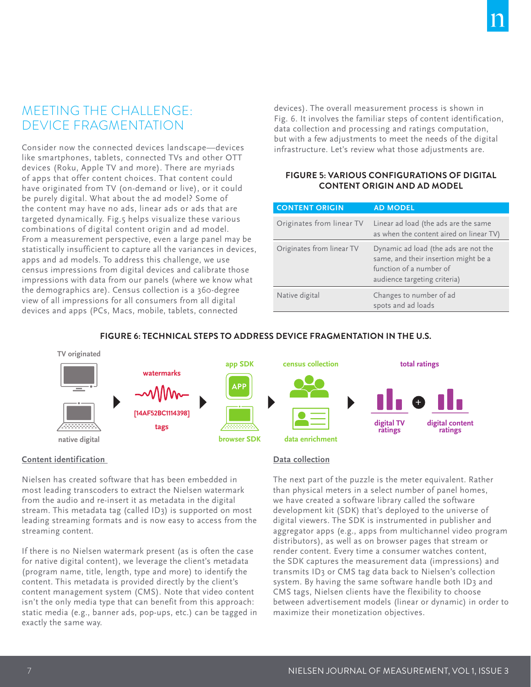# MEETING THE CHALLENGE: DEVICE FRAGMENTATION

Consider now the connected devices landscape—devices like smartphones, tablets, connected TVs and other OTT devices (Roku, Apple TV and more). There are myriads of apps that offer content choices. That content could have originated from TV (on-demand or live), or it could be purely digital. What about the ad model? Some of the content may have no ads, linear ads or ads that are targeted dynamically. Fig.5 helps visualize these various combinations of digital content origin and ad model. From a measurement perspective, even a large panel may be statistically insufficient to capture all the variances in devices, apps and ad models. To address this challenge, we use census impressions from digital devices and calibrate those impressions with data from our panels (where we know what the demographics are). Census collection is a 360-degree view of all impressions for all consumers from all digital devices and apps (PCs, Macs, mobile, tablets, connected

devices). The overall measurement process is shown in Fig. 6. It involves the familiar steps of content identification, data collection and processing and ratings computation, but with a few adjustments to meet the needs of the digital infrastructure. Let's review what those adjustments are.

## **FIGURE 5: VARIOUS CONFIGURATIONS OF DIGITAL CONTENT ORIGIN AND AD MODEL**

| <b>CONTENT ORIGIN</b>     | <b>AD MODEL</b>                                                                                                                         |
|---------------------------|-----------------------------------------------------------------------------------------------------------------------------------------|
| Originates from linear TV | Linear ad load (the ads are the same<br>as when the content aired on linear TV)                                                         |
| Originates from linear TV | Dynamic ad load (the ads are not the<br>same, and their insertion might be a<br>function of a number of<br>audience targeting criteria) |
| Native digital            | Changes to number of ad<br>spots and ad loads                                                                                           |

## **FIGURE 6: TECHNICAL STEPS TO ADDRESS DEVICE FRAGMENTATION IN THE U.S.**



## **Content identification**

Nielsen has created software that has been embedded in most leading transcoders to extract the Nielsen watermark from the audio and re-insert it as metadata in the digital stream. This metadata tag (called ID3) is supported on most leading streaming formats and is now easy to access from the streaming content.

If there is no Nielsen watermark present (as is often the case for native digital content), we leverage the client's metadata (program name, title, length, type and more) to identify the content. This metadata is provided directly by the client's content management system (CMS). Note that video content isn't the only media type that can benefit from this approach: static media (e.g., banner ads, pop-ups, etc.) can be tagged in exactly the same way.

#### **Data collection**

The next part of the puzzle is the meter equivalent. Rather than physical meters in a select number of panel homes, we have created a software library called the software development kit (SDK) that's deployed to the universe of digital viewers. The SDK is instrumented in publisher and aggregator apps (e.g., apps from multichannel video program distributors), as well as on browser pages that stream or render content. Every time a consumer watches content, the SDK captures the measurement data (impressions) and transmits ID3 or CMS tag data back to Nielsen's collection system. By having the same software handle both ID3 and CMS tags, Nielsen clients have the flexibility to choose between advertisement models (linear or dynamic) in order to maximize their monetization objectives.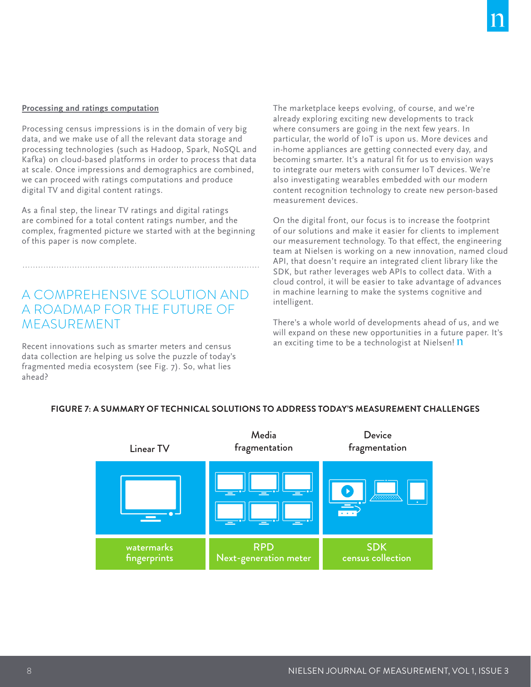#### **Processing and ratings computation**

Processing census impressions is in the domain of very big data, and we make use of all the relevant data storage and processing technologies (such as Hadoop, Spark, NoSQL and Kafka) on cloud-based platforms in order to process that data at scale. Once impressions and demographics are combined, we can proceed with ratings computations and produce digital TV and digital content ratings.

As a final step, the linear TV ratings and digital ratings are combined for a total content ratings number, and the complex, fragmented picture we started with at the beginning of this paper is now complete.

A COMPREHENSIVE SOLUTION AND A ROADMAP FOR THE FUTURE OF MEASUREMENT

Recent innovations such as smarter meters and census data collection are helping us solve the puzzle of today's fragmented media ecosystem (see Fig. 7). So, what lies ahead?

The marketplace keeps evolving, of course, and we're already exploring exciting new developments to track where consumers are going in the next few years. In particular, the world of IoT is upon us. More devices and in-home appliances are getting connected every day, and becoming smarter. It's a natural fit for us to envision ways to integrate our meters with consumer IoT devices. We're also investigating wearables embedded with our modern content recognition technology to create new person-based measurement devices.

On the digital front, our focus is to increase the footprint of our solutions and make it easier for clients to implement our measurement technology. To that effect, the engineering team at Nielsen is working on a new innovation, named cloud API, that doesn't require an integrated client library like the SDK, but rather leverages web APIs to collect data. With a cloud control, it will be easier to take advantage of advances in machine learning to make the systems cognitive and intelligent.

There's a whole world of developments ahead of us, and we will expand on these new opportunities in a future paper. It's an exciting time to be a technologist at Nielsen! 11



#### **FIGURE 7: A SUMMARY OF TECHNICAL SOLUTIONS TO ADDRESS TODAY'S MEASUREMENT CHALLENGES**